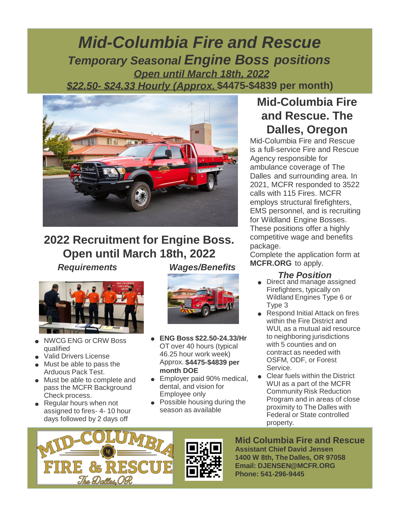## *Mid-Columbia Fire and Rescue Temporary Seasonal Engine Boss positions Open until March 18th, 2022 \$22.50- \$24.33 Hourly (Approx.* **\$4475-\$4839 per month)**



# **2022 Recruitment for Engine Boss. Open until March 18th, 2022**

*Requirements Wages/Benefits*



- NWCG ENG or CRW Boss qualified
- Valid Drivers License
- Must be able to pass the Arduous Pack Test.
- Must be able to complete and pass the MCFR Background Check process.
- Regular hours when not assigned to fires- 4- 10 hour days followed by 2 days off



- **ENG Boss \$22.50-24.33/Hr** OT over 40 hours (typical 46.25 hour work week) Approx. **\$4475-\$4839 per month DOE**
- **Employer paid 90% medical,** dental, and vision for Employee only
- Possible housing during the season as available

### **Mid-Columbia Fire and Rescue. The Dalles, Oregon**

Mid-Columbia Fire and Rescue is a full-service Fire and Rescue Agency responsible for ambulance coverage of The Dalles and surrounding area. In 2021, MCFR responded to 3522 calls with 115 Fires. MCFR employs structural firefighters, EMS personnel, and is recruiting for Wildland Engine Bosses. These positions offer a highly competitive wage and benefits package.

Complete the application form at **MCFR.ORG** to apply.

### *The Position*

- Direct and manage assigned Firefighters, typically on Wildland Engines Type 6 or Type 3
- Respond Initial Attack on fires within the Fire District and WUI, as a mutual aid resource to neighboring jurisdictions with 5 counties and on contract as needed with OSFM, ODF, or Forest **Service**
- Clear fuels within the District WUI as a part of the MCFR Community Risk Reduction Program and in areas of close proximity to The Dalles with Federal or State controlled property.





**Mid Columbia Fire and Rescue Assistant Chief David Jensen 1400 W 8th, The Dalles, OR 97058 Email: DJENSEN@MCFR.ORG Phone: 541-296-9445**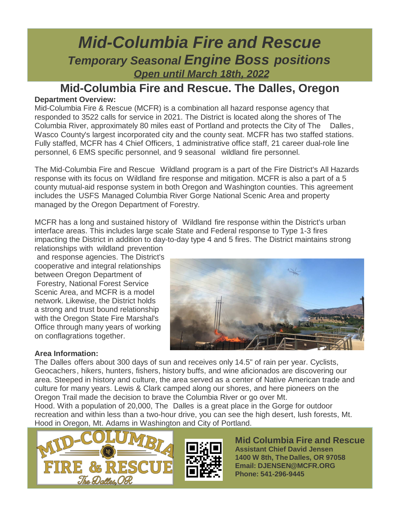## *Mid-Columbia Fire and Rescue Temporary Seasonal Engine Boss positions Open until March 18th, 2022*

### **Mid-Columbia Fire and Rescue. The Dalles, Oregon**

#### **Department Overview:**

Mid-Columbia Fire & Rescue (MCFR) is a combination all hazard response agency that responded to 3522 calls for service in 2021. The District is located along the shores of The Columbia River, approximately 80 miles east of Portland and protects the City of The Dalles, Wasco County's largest incorporated city and the county seat. MCFR has two staffed stations. Fully staffed, MCFR has 4 Chief Officers, 1 administrative office staff, 21 career dual-role line personnel, 6 EMS specific personnel, and 9 seasonal wildland fire personnel.

The Mid-Columbia Fire and Rescue Wildland program is a part of the Fire District's All Hazards response with its focus on Wildland fire response and mitigation. MCFR is also a part of a 5 county mutual-aid response system in both Oregon and Washington counties. This agreement includes the USFS Managed Columbia River Gorge National Scenic Area and property managed by the Oregon Department of Forestry.

MCFR has a long and sustained history of Wildland fire response within the District's urban interface areas. This includes large scale State and Federal response to Type 1-3 fires impacting the District in addition to day-to-day type 4 and 5 fires. The District maintains strong

relationships with wildland prevention and response agencies. The District's cooperative and integral relationships between Oregon Department of Forestry, National Forest Service Scenic Area, and MCFR is a model network. Likewise, the District holds a strong and trust bound relationship with the Oregon State Fire Marshal's Office through many years of working on conflagrations together.



#### **Area Information:**

The Dalles offers about 300 days of sun and receives only 14.5" of rain per year. Cyclists, Geocachers, hikers, hunters, fishers, history buffs, and wine aficionados are discovering our area. Steeped in history and culture, the area served as a center of Native American trade and culture for many years. Lewis & Clark camped along our shores, and here pioneers on the Oregon Trail made the decision to brave the Columbia River or go over Mt.

Hood. With a population of 20,000, The Dalles is a great place in the Gorge for outdoor recreation and within less than a two-hour drive, you can see the high desert, lush forests, Mt. Hood in Oregon, Mt. Adams in Washington and City of Portland.





**Mid Columbia Fire and Rescue Assistant Chief David Jensen 1400 W 8th, The Dalles, OR 97058 Email: DJENSEN@MCFR.ORG Phone: 541-296-9445**